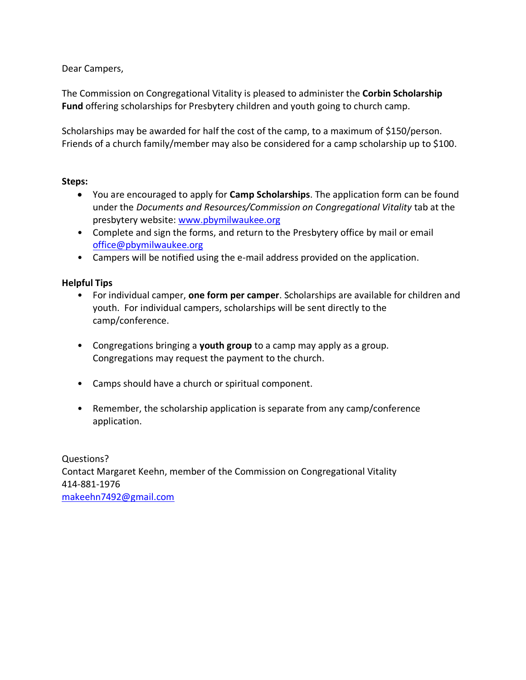Dear Campers,

The Commission on Congregational Vitality is pleased to administer the **Corbin Scholarship Fund** offering scholarships for Presbytery children and youth going to church camp.

Scholarships may be awarded for half the cost of the camp, to a maximum of \$150/person. Friends of a church family/member may also be considered for a camp scholarship up to \$100.

## **Steps:**

- You are encouraged to apply for **Camp Scholarships**. The application form can be found under the *Documents and Resources/Commission on Congregational Vitality* tab at the presbytery website: [www.pbymilwaukee.org](http://www.pbymilwaukee.org/)
- Complete and sign the forms, and return to the Presbytery office by mail or email [office@pbymilwaukee.org](mailto:office@pbymilwaukee.org)
- Campers will be notified using the e-mail address provided on the application.

## **Helpful Tips**

- For individual camper, **one form per camper**. Scholarships are available for children and youth. For individual campers, scholarships will be sent directly to the camp/conference.
- Congregations bringing a **youth group** to a camp may apply as a group. Congregations may request the payment to the church.
- Camps should have a church or spiritual component.
- Remember, the scholarship application is separate from any camp/conference application.

Questions? Contact Margaret Keehn, member of the Commission on Congregational Vitality 414-881-1976 [makeehn7492@gmail.com](mailto:makeehn7492@gmail.com)